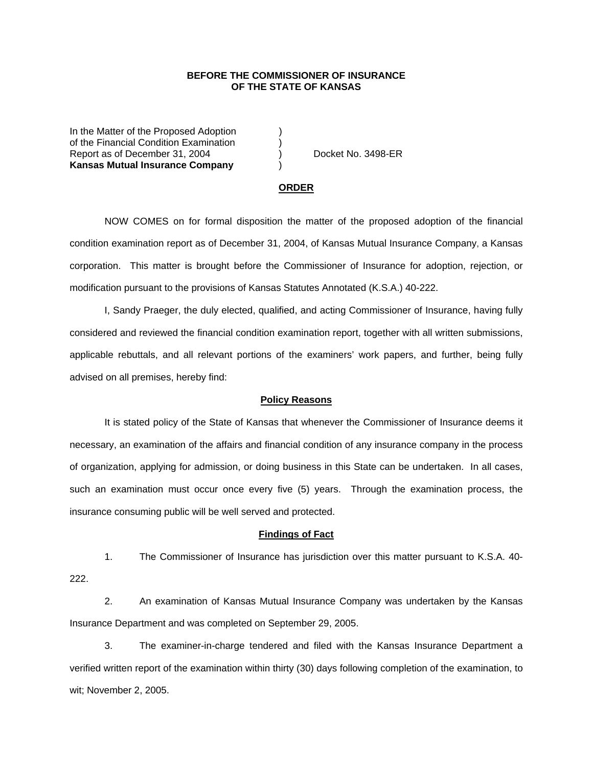## **BEFORE THE COMMISSIONER OF INSURANCE OF THE STATE OF KANSAS**

In the Matter of the Proposed Adoption of the Financial Condition Examination ) Report as of December 31, 2004 (a) Docket No. 3498-ER **Kansas Mutual Insurance Company** )

#### **ORDER**

 NOW COMES on for formal disposition the matter of the proposed adoption of the financial condition examination report as of December 31, 2004, of Kansas Mutual Insurance Company, a Kansas corporation. This matter is brought before the Commissioner of Insurance for adoption, rejection, or modification pursuant to the provisions of Kansas Statutes Annotated (K.S.A.) 40-222.

 I, Sandy Praeger, the duly elected, qualified, and acting Commissioner of Insurance, having fully considered and reviewed the financial condition examination report, together with all written submissions, applicable rebuttals, and all relevant portions of the examiners' work papers, and further, being fully advised on all premises, hereby find:

### **Policy Reasons**

 It is stated policy of the State of Kansas that whenever the Commissioner of Insurance deems it necessary, an examination of the affairs and financial condition of any insurance company in the process of organization, applying for admission, or doing business in this State can be undertaken. In all cases, such an examination must occur once every five (5) years. Through the examination process, the insurance consuming public will be well served and protected.

#### **Findings of Fact**

 1. The Commissioner of Insurance has jurisdiction over this matter pursuant to K.S.A. 40- 222.

 2. An examination of Kansas Mutual Insurance Company was undertaken by the Kansas Insurance Department and was completed on September 29, 2005.

 3. The examiner-in-charge tendered and filed with the Kansas Insurance Department a verified written report of the examination within thirty (30) days following completion of the examination, to wit; November 2, 2005.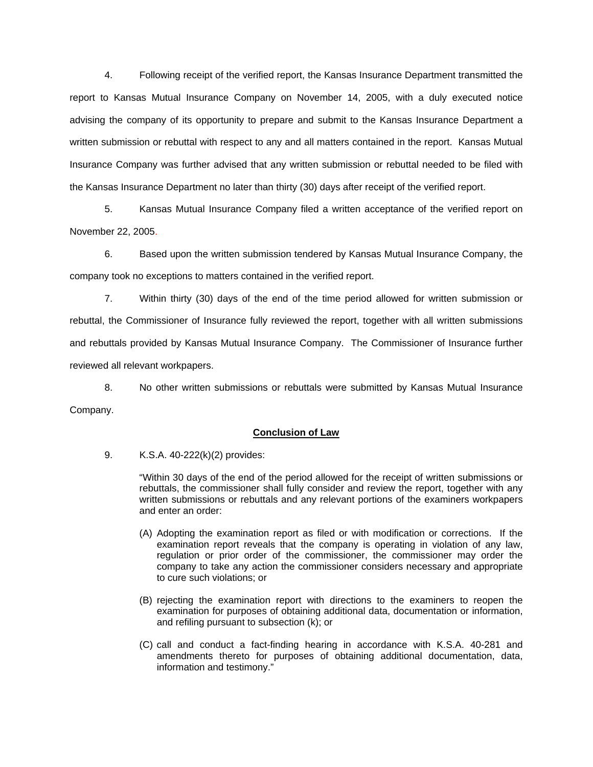4. Following receipt of the verified report, the Kansas Insurance Department transmitted the report to Kansas Mutual Insurance Company on November 14, 2005, with a duly executed notice advising the company of its opportunity to prepare and submit to the Kansas Insurance Department a written submission or rebuttal with respect to any and all matters contained in the report. Kansas Mutual Insurance Company was further advised that any written submission or rebuttal needed to be filed with the Kansas Insurance Department no later than thirty (30) days after receipt of the verified report.

 5. Kansas Mutual Insurance Company filed a written acceptance of the verified report on November 22, 2005.

6. Based upon the written submission tendered by Kansas Mutual Insurance Company, the company took no exceptions to matters contained in the verified report.

 7. Within thirty (30) days of the end of the time period allowed for written submission or rebuttal, the Commissioner of Insurance fully reviewed the report, together with all written submissions and rebuttals provided by Kansas Mutual Insurance Company. The Commissioner of Insurance further reviewed all relevant workpapers.

 8. No other written submissions or rebuttals were submitted by Kansas Mutual Insurance Company.

## **Conclusion of Law**

9. K.S.A. 40-222(k)(2) provides:

"Within 30 days of the end of the period allowed for the receipt of written submissions or rebuttals, the commissioner shall fully consider and review the report, together with any written submissions or rebuttals and any relevant portions of the examiners workpapers and enter an order:

- (A) Adopting the examination report as filed or with modification or corrections. If the examination report reveals that the company is operating in violation of any law, regulation or prior order of the commissioner, the commissioner may order the company to take any action the commissioner considers necessary and appropriate to cure such violations; or
- (B) rejecting the examination report with directions to the examiners to reopen the examination for purposes of obtaining additional data, documentation or information, and refiling pursuant to subsection (k); or
- (C) call and conduct a fact-finding hearing in accordance with K.S.A. 40-281 and amendments thereto for purposes of obtaining additional documentation, data, information and testimony."